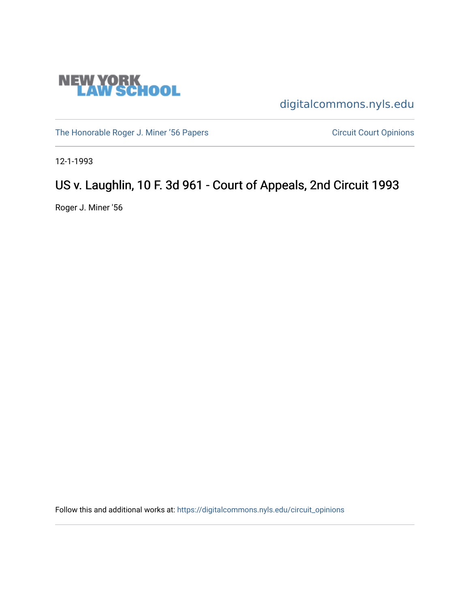

[digitalcommons.nyls.edu](https://digitalcommons.nyls.edu/) 

[The Honorable Roger J. Miner '56 Papers](https://digitalcommons.nyls.edu/miner_papers) Circuit Court Opinions

12-1-1993

# US v. Laughlin, 10 F. 3d 961 - Court of Appeals, 2nd Circuit 1993

Roger J. Miner '56

Follow this and additional works at: [https://digitalcommons.nyls.edu/circuit\\_opinions](https://digitalcommons.nyls.edu/circuit_opinions?utm_source=digitalcommons.nyls.edu%2Fcircuit_opinions%2F396&utm_medium=PDF&utm_campaign=PDFCoverPages)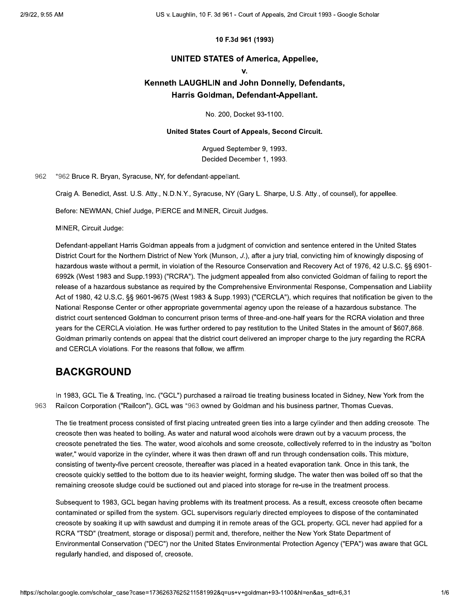#### 10 F.3d 961 (1993)

#### **UNITED STATES of America, Appellee,**

#### $\mathbf{V}$

### Kenneth LAUGHLIN and John Donnelly, Defendants, Harris Goldman, Defendant-Appellant.

No. 200, Docket 93-1100.

#### United States Court of Appeals, Second Circuit.

Argued September 9, 1993. Decided December 1, 1993.

962 \*962 Bruce R. Bryan, Syracuse, NY, for defendant-appellant.

Craig A. Benedict, Asst. U.S. Atty., N.D.N.Y., Syracuse, NY (Gary L. Sharpe, U.S. Atty., of counsel), for appellee.

Before: NEWMAN, Chief Judge, PIERCE and MINER, Circuit Judges.

MINER, Circuit Judge:

Defendant-appellant Harris Goldman appeals from a judgment of conviction and sentence entered in the United States District Court for the Northern District of New York (Munson, J.), after a jury trial, convicting him of knowingly disposing of hazardous waste without a permit, in violation of the Resource Conservation and Recovery Act of 1976, 42 U.S.C. §§ 6901-6992k (West 1983 and Supp.1993) ("RCRA"). The judgment appealed from also convicted Goldman of failing to report the release of a hazardous substance as required by the Comprehensive Environmental Response, Compensation and Liability Act of 1980, 42 U.S.C. §§ 9601-9675 (West 1983 & Supp.1993) ("CERCLA"), which requires that notification be given to the National Response Center or other appropriate governmental agency upon the release of a hazardous substance. The district court sentenced Goldman to concurrent prison terms of three-and-one-half years for the RCRA violation and three years for the CERCLA violation. He was further ordered to pay restitution to the United States in the amount of \$607,868. Goldman primarily contends on appeal that the district court delivered an improper charge to the jury regarding the RCRA and CERCLA violations. For the reasons that follow, we affirm.

### **BACKGROUND**

In 1983, GCL Tie & Treating, Inc. ("GCL") purchased a railroad tie treating business located in Sidney, New York from the 963 Railcon Corporation ("Railcon"). GCL was \*963 owned by Goldman and his business partner, Thomas Cuevas.

The tie treatment process consisted of first placing untreated green ties into a large cylinder and then adding creosote. The creosote then was heated to boiling. As water and natural wood alcohols were drawn out by a vacuum process, the creosote penetrated the ties. The water, wood alcohols and some creosote, collectively referred to in the industry as "bolton water," would vaporize in the cylinder, where it was then drawn off and run through condensation coils. This mixture, consisting of twenty-five percent creosote, thereafter was placed in a heated evaporation tank. Once in this tank, the creosote quickly settled to the bottom due to its heavier weight, forming sludge. The water then was boiled off so that the remaining creosote sludge could be suctioned out and placed into storage for re-use in the treatment process.

Subsequent to 1983, GCL began having problems with its treatment process. As a result, excess creosote often became contaminated or spilled from the system. GCL supervisors regularly directed employees to dispose of the contaminated creosote by soaking it up with sawdust and dumping it in remote areas of the GCL property. GCL never had applied for a RCRA "TSD" (treatment, storage or disposal) permit and, therefore, neither the New York State Department of Environmental Conservation ("DEC") nor the United States Environmental Protection Agency ("EPA") was aware that GCL regularly handled, and disposed of, creosote.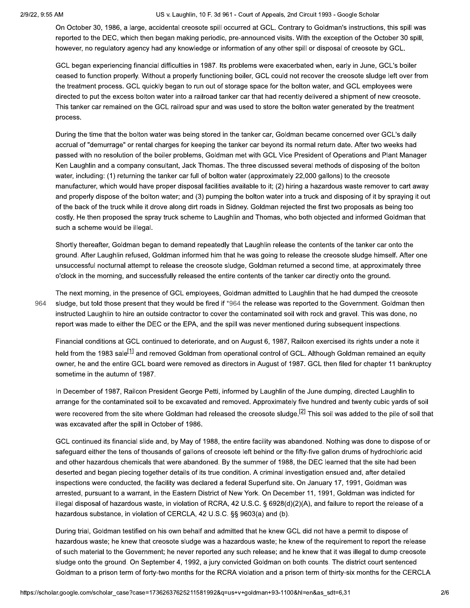#### US v. Laughlin, 10 F. 3d 961 - Court of Appeals, 2nd Circuit 1993 - Google Scholar

On October 30, 1986, a large, accidental creosote spill occurred at GCL. Contrary to Goldman's instructions, this spill was reported to the DEC, which then began making periodic, pre-announced visits. With the exception of the October 30 spill, however, no regulatory agency had any knowledge or information of any other spill or disposal of creosote by GCL.

GCL began experiencing financial difficulties in 1987. Its problems were exacerbated when, early in June, GCL's boiler ceased to function properly. Without a properly functioning boiler, GCL could not recover the creosote sludge left over from the treatment process. GCL quickly began to run out of storage space for the bolton water, and GCL employees were directed to put the excess bolton water into a railroad tanker car that had recently delivered a shipment of new creosote. This tanker car remained on the GCL railroad spur and was used to store the bolton water generated by the treatment process.

During the time that the bolton water was being stored in the tanker car, Goldman became concerned over GCL's daily accrual of "demurrage" or rental charges for keeping the tanker car beyond its normal return date. After two weeks had passed with no resolution of the boiler problems, Goldman met with GCL Vice President of Operations and Plant Manager Ken Laughlin and a company consultant, Jack Thomas. The three discussed several methods of disposing of the bolton water, including: (1) returning the tanker car full of bolton water (approximately 22,000 gallons) to the creosote manufacturer, which would have proper disposal facilities available to it; (2) hiring a hazardous waste remover to cart away and properly dispose of the bolton water; and (3) pumping the bolton water into a truck and disposing of it by spraying it out of the back of the truck while it drove along dirt roads in Sidney. Goldman rejected the first two proposals as being too costly. He then proposed the spray truck scheme to Laughlin and Thomas, who both objected and informed Goldman that such a scheme would be illegal.

Shortly thereafter, Goldman began to demand repeatedly that Laughlin release the contents of the tanker car onto the ground. After Laughlin refused, Goldman informed him that he was going to release the creosote sludge himself. After one unsuccessful nocturnal attempt to release the creosote sludge, Goldman returned a second time, at approximately three o'clock in the morning, and successfully released the entire contents of the tanker car directly onto the ground.

The next morning, in the presence of GCL employees, Goldman admitted to Laughlin that he had dumped the creosote 964 sludge, but told those present that they would be fired if \*964 the release was reported to the Government. Goldman then instructed Laughlin to hire an outside contractor to cover the contaminated soil with rock and gravel. This was done, no report was made to either the DEC or the EPA, and the spill was never mentioned during subsequent inspections.

Financial conditions at GCL continued to deteriorate, and on August 6, 1987, Railcon exercised its rights under a note it held from the 1983 sale<sup>[1]</sup> and removed Goldman from operational control of GCL. Although Goldman remained an equity owner, he and the entire GCL board were removed as directors in August of 1987. GCL then filed for chapter 11 bankruptcy sometime in the autumn of 1987.

In December of 1987, Railcon President George Petti, informed by Laughlin of the June dumping, directed Laughlin to arrange for the contaminated soil to be excavated and removed. Approximately five hundred and twenty cubic yards of soil were recovered from the site where Goldman had released the creosote sludge.<sup>[2]</sup> This soil was added to the pile of soil that was excavated after the spill in October of 1986.

GCL continued its financial slide and, by May of 1988, the entire facility was abandoned. Nothing was done to dispose of or safeguard either the tens of thousands of gallons of creosote left behind or the fifty-five gallon drums of hydrochloric acid and other hazardous chemicals that were abandoned. By the summer of 1988, the DEC learned that the site had been deserted and began piecing together details of its true condition. A criminal investigation ensued and, after detailed inspections were conducted, the facility was declared a federal Superfund site. On January 17, 1991, Goldman was arrested, pursuant to a warrant, in the Eastern District of New York. On December 11, 1991, Goldman was indicted for illegal disposal of hazardous waste, in violation of RCRA, 42 U.S.C. § 6928(d)(2)(A), and failure to report the release of a hazardous substance, in violation of CERCLA, 42 U.S.C. §§ 9603(a) and (b).

During trial, Goldman testified on his own behalf and admitted that he knew GCL did not have a permit to dispose of hazardous waste; he knew that creosote sludge was a hazardous waste; he knew of the requirement to report the release of such material to the Government; he never reported any such release; and he knew that it was illegal to dump creosote sludge onto the ground. On September 4, 1992, a jury convicted Goldman on both counts. The district court sentenced Goldman to a prison term of forty-two months for the RCRA violation and a prison term of thirty-six months for the CERCLA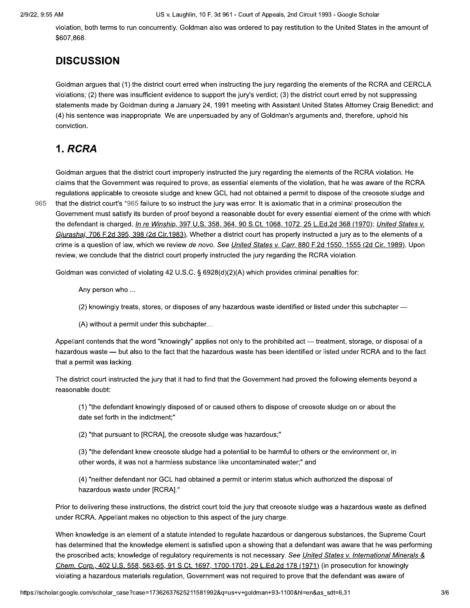violation, both terms to run concurrently. Goldman also was ordered to pay restitution to the United States in the amount of \$607,868.

## **DISCUSSION**

Goldman argues that (1) the district court erred when instructing the jury regarding the elements of the RCRA and CERCLA violations; (2) there was insufficient evidence to support the jury's verdict; (3) the district court erred by not suppressing statements made by Goldman during a January 24, 1991 meeting with Assistant United States Attorney Craig Benedict; and (4) his sentence was inappropriate. We are unpersuaded by any of Goldman's arguments and, therefore, uphold his conviction.

## 1. RCRA

965

Goldman arques that the district court improperly instructed the jury regarding the elements of the RCRA violation. He claims that the Government was required to prove, as essential elements of the violation, that he was aware of the RCRA regulations applicable to creosote sludge and knew GCL had not obtained a permit to dispose of the creosote sludge and that the district court's \*965 failure to so instruct the jury was error. It is axiomatic that in a criminal prosecution the Government must satisfy its burden of proof beyond a reasonable doubt for every essential element of the crime with which the defendant is charged. In re Winship, 397 U.S. 358, 364, 90 S.Ct. 1068, 1072, 25 L.Ed.2d 368 (1970); United States v. Gjurashaj, 706 F.2d 395, 398 (2d Cir.1983). Whether a district court has properly instructed a jury as to the elements of a crime is a question of law, which we review de novo. See United States v. Carr, 880 F.2d 1550, 1555 (2d Cir. 1989). Upon review, we conclude that the district court properly instructed the jury regarding the RCRA violation.

Goldman was convicted of violating 42 U.S.C. § 6928(d)(2)(A) which provides criminal penalties for:

Any person who ...

- (2) knowingly treats, stores, or disposes of any hazardous waste identified or listed under this subchapter -
- (A) without a permit under this subchapter....

Appellant contends that the word "knowingly" applies not only to the prohibited act — treatment, storage, or disposal of a hazardous waste - but also to the fact that the hazardous waste has been identified or listed under RCRA and to the fact that a permit was lacking.

The district court instructed the jury that it had to find that the Government had proved the following elements beyond a reasonable doubt:

(1) "the defendant knowingly disposed of or caused others to dispose of creosote sludge on or about the date set forth in the indictment;"

(2) "that pursuant to [RCRA], the creosote sludge was hazardous;"

(3) "the defendant knew creosote sludge had a potential to be harmful to others or the environment or, in other words, it was not a harmless substance like uncontaminated water;" and

(4) "neither defendant nor GCL had obtained a permit or interim status which authorized the disposal of hazardous waste under [RCRA]."

Prior to delivering these instructions, the district court told the jury that creosote sludge was a hazardous waste as defined under RCRA. Appellant makes no objection to this aspect of the jury charge.

When knowledge is an element of a statute intended to regulate hazardous or dangerous substances, the Supreme Court has determined that the knowledge element is satisfied upon a showing that a defendant was aware that he was performing the proscribed acts; knowledge of regulatory requirements is not necessary. See United States v. International Minerals & Chem. Corp., 402 U.S. 558, 563-65, 91 S.Ct. 1697, 1700-1701, 29 L.Ed.2d 178 (1971) (in prosecution for knowingly violating a hazardous materials regulation, Government was not reguired to prove that the defendant was aware of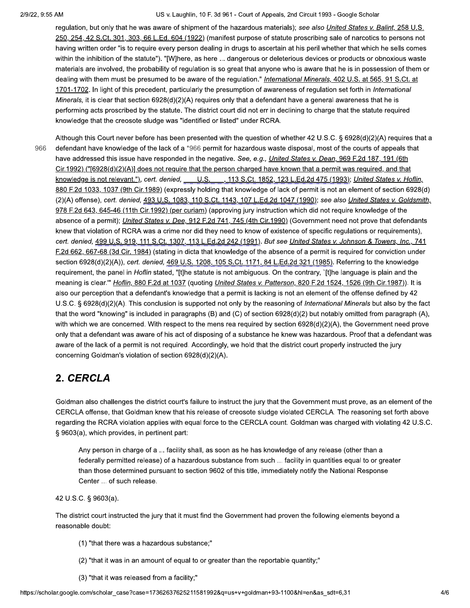US v. Laughlin, 10 F. 3d 961 - Court of Appeals, 2nd Circuit 1993 - Google Scholar

regulation, but only that he was aware of shipment of the hazardous materials); see also United States v. Balint, 258 U.S. 250, 254, 42 S.Ct. 301, 303, 66 L.Ed. 604 (1922) (manifest purpose of statute proscribing sale of narcotics to persons not having written order "is to require every person dealing in drugs to ascertain at his peril whether that which he sells comes within the inhibition of the statute"). "[W]here, as here ... dangerous or deleterious devices or products or obnoxious waste materials are involved, the probability of regulation is so great that anyone who is aware that he is in possession of them or dealing with them must be presumed to be aware of the regulation." International Minerals, 402 U.S. at 565, 91 S.Ct. at 1701-1702. In light of this precedent, particularly the presumption of awareness of regulation set forth in International Minerals, it is clear that section  $6928(d)(2)(A)$  requires only that a defendant have a general awareness that he is performing acts proscribed by the statute. The district court did not err in declining to charge that the statute required knowledge that the creosote sludge was "identified or listed" under RCRA.

Although this Court never before has been presented with the question of whether 42 U.S.C. § 6928(d)(2)(A) requires that a 966 defendant have knowledge of the lack of a \*966 permit for hazardous waste disposal, most of the courts of appeals that have addressed this issue have responded in the negative. See, e.g., United States v. Dean, 969 F.2d 187, 191 (6th Cir.1992) ("[6928(d)(2)(A)] does not require that the person charged have known that a permit was required, and that knowledge is not relevant."), cert. denied, U.S., 113 S.Ct. 1852, 123 L.Ed.2d 475 (1993); United States v. Hoflin, 880 F.2d 1033, 1037 (9th Cir.1989) (expressly holding that knowledge of lack of permit is not an element of section 6928(d) (2)(A) offense), cert. denied, 493 U.S. 1083, 110 S.Ct. 1143, 107 L.Ed.2d 1047 (1990); see also United States v. Goldsmith, 978 F.2d 643, 645-46 (11th Cir.1992) (per curiam) (approving jury instruction which did not require knowledge of the absence of a permit); United States v. Dee, 912 F.2d 741, 745 (4th Cir.1990) (Government need not prove that defendants knew that violation of RCRA was a crime nor did they need to know of existence of specific regulations or requirements), cert. denied, 499 U.S. 919, 111 S.Ct. 1307, 113 L.Ed.2d 242 (1991). But see United States v. Johnson & Towers, Inc., 741 F.2d 662, 667-68 (3d Cir. 1984) (stating in dicta that knowledge of the absence of a permit is required for conviction under section 6928(d)(2)(A)), cert. denied, 469 U.S. 1208, 105 S.Ct. 1171, 84 L.Ed.2d 321 (1985). Referring to the knowledge requirement, the panel in Hoflin stated, "[t]he statute is not ambiguous. On the contrary, `[t]he language is plain and the meaning is clear."" Hoflin, 880 F.2d at 1037 (quoting United States v. Patterson, 820 F.2d 1524, 1526 (9th Cir.1987)). It is also our perception that a defendant's knowledge that a permit is lacking is not an element of the offense defined by 42 U.S.C. § 6928(d)(2)(A). This conclusion is supported not only by the reasoning of International Minerals but also by the fact that the word "knowing" is included in paragraphs (B) and (C) of section  $6928(d)(2)$  but notably omitted from paragraph (A), with which we are concerned. With respect to the mens rea required by section 6928(d)(2)(A), the Government need prove only that a defendant was aware of his act of disposing of a substance he knew was hazardous. Proof that a defendant was aware of the lack of a permit is not required. Accordingly, we hold that the district court properly instructed the jury concerning Goldman's violation of section 6928(d)(2)(A).

## 2. CERCLA

Goldman also challenges the district court's failure to instruct the jury that the Government must prove, as an element of the CERCLA offense, that Goldman knew that his release of creosote sludge violated CERCLA. The reasoning set forth above regarding the RCRA violation applies with equal force to the CERCLA count. Goldman was charged with violating 42 U.S.C. § 9603(a), which provides, in pertinent part:

Any person in charge of a ... facility shall, as soon as he has knowledge of any release (other than a federally permitted release) of a hazardous substance from such ... facility in quantities equal to or greater than those determined pursuant to section 9602 of this title, immediately notify the National Response Center ... of such release.

42 U.S.C. § 9603(a).

The district court instructed the jury that it must find the Government had proven the following elements beyond a reasonable doubt:

- (1) "that there was a hazardous substance;"
- (2) "that it was in an amount of equal to or greater than the reportable quantity;"
- (3) "that it was released from a facility;"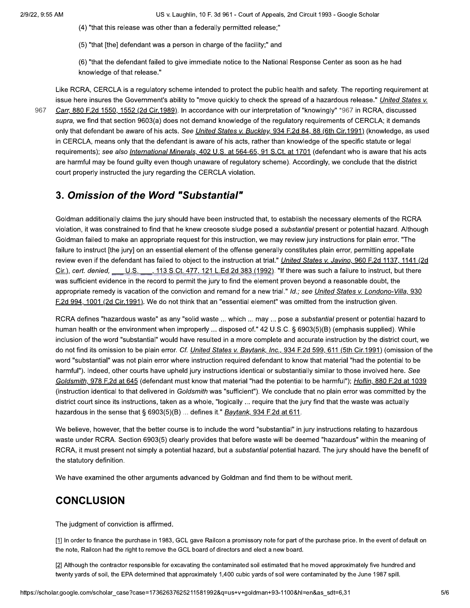US v. Laughlin, 10 F. 3d 961 - Court of Appeals, 2nd Circuit 1993 - Google Scholar

(4) "that this release was other than a federally permitted release;"

(5) "that [the] defendant was a person in charge of the facility;" and

(6) "that the defendant failed to give immediate notice to the National Response Center as soon as he had knowledge of that release."

967

Like RCRA, CERCLA is a regulatory scheme intended to protect the public health and safety. The reporting requirement at issue here insures the Government's ability to "move quickly to check the spread of a hazardous release." *United States v.* Carr, 880 F.2d 1550, 1552 (2d Cir.1989). In accordance with our interpretation of "knowingly" \*967 in RCRA, discussed supra, we find that section 9603(a) does not demand knowledge of the regulatory requirements of CERCLA; it demands only that defendant be aware of his acts. See United States v. Buckley, 934 F.2d 84, 88 (6th Cir.1991) (knowledge, as used in CERCLA, means only that the defendant is aware of his acts, rather than knowledge of the specific statute or legal requirements); see also International Minerals, 402 U.S. at 564-65, 91 S.Ct. at 1701 (defendant who is aware that his acts are harmful may be found quilty even though unaware of regulatory scheme). Accordingly, we conclude that the district court properly instructed the jury regarding the CERCLA violation.

## 3. Omission of the Word "Substantial"

Goldman additionally claims the jury should have been instructed that, to establish the necessary elements of the RCRA violation, it was constrained to find that he knew creosote sludge posed a substantial present or potential hazard. Although Goldman failed to make an appropriate request for this instruction, we may review jury instructions for plain error. "The failure to instruct [the jury] on an essential element of the offense generally constitutes plain error, permitting appellate review even if the defendant has failed to object to the instruction at trial." United States v. Javino, 960 F.2d 1137, 1141 (2d  $Cir.$ ), cert. denied,  $\underline{\qquad \qquad }$  U.S. 113 S.Ct. 477, 121 L.Ed.2d 383 (1992). "If there was such a failure to instruct, but there was sufficient evidence in the record to permit the jury to find the element proven beyond a reasonable doubt, the appropriate remedy is vacation of the conviction and remand for a new trial." Id.; see United States v. Londono-Villa, 930 F.2d 994, 1001 (2d Cir.1991). We do not think that an "essential element" was omitted from the instruction given.

RCRA defines "hazardous waste" as any "solid waste ... which ... may ... pose a substantial present or potential hazard to human health or the environment when improperly ... disposed of." 42 U.S.C. § 6903(5)(B) (emphasis supplied). While inclusion of the word "substantial" would have resulted in a more complete and accurate instruction by the district court, we do not find its omission to be plain error. Cf. United States v. Baytank, Inc., 934 F.2d 599, 611 (5th Cir.1991) (omission of the word "substantial" was not plain error where instruction required defendant to know that material "had the potential to be harmful"). Indeed, other courts have upheld jury instructions identical or substantially similar to those involved here. See Goldsmith, 978 F.2d at 645 (defendant must know that material "had the potential to be harmful"); Hoflin, 880 F.2d at 1039 (instruction identical to that delivered in Goldsmith was "sufficient"). We conclude that no plain error was committed by the district court since its instructions, taken as a whole, "logically ... require that the jury find that the waste was actually hazardous in the sense that § 6903(5)(B) ... defines it." Baytank, 934 F.2d at 611.

We believe, however, that the better course is to include the word "substantial" in jury instructions relating to hazardous waste under RCRA. Section 6903(5) clearly provides that before waste will be deemed "hazardous" within the meaning of RCRA, it must present not simply a potential hazard, but a *substantial* potential hazard. The jury should have the benefit of the statutory definition.

We have examined the other arguments advanced by Goldman and find them to be without merit.

### **CONCLUSION**

The judgment of conviction is affirmed.

[1] In order to finance the purchase in 1983, GCL gave Railcon a promissory note for part of the purchase price. In the event of default on the note, Railcon had the right to remove the GCL board of directors and elect a new board.

[2] Although the contractor responsible for excavating the contaminated soil estimated that he moved approximately five hundred and twenty yards of soil, the EPA determined that approximately 1,400 cubic yards of soil were contaminated by the June 1987 spill.